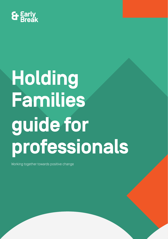

# **Holding Families guide for professionals**

Working together towards positive change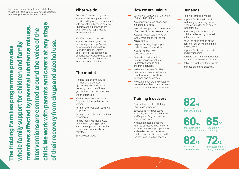Our support may begin with drug and alcohol misuse but offers a progressive holistic approach addressing many areas of families' needs.

**child. We work with parents and carers at any stage**  1) **members affected by parental substance misuse.**  child. We work with parents and carers at any stag misuse **Interventions are centred around the voice of the**  nterventions are centred around the voice of the and alcohol use. **whole family support for children and family of their recovery from drugs and alcohol use.** whole family support for children and family **The Holding Families programme provides**  provides substance programme parental drugs of their recovery from members affected by The Holding Families

Our child focussed programme supports children, parents and families with problems associated with parental substance misuse. Children and adult needs are dealt with and responded to at the same time.

We offer a range of individual support sessions, group work and family meetings. We are commissioned across Bury, Rochdale, Bolton, Salford and Trafford. The service has continuously evolved since 2006 via feedback from clients and independent evaluation.

# **The model**

Holding Families work with families at the earliest opportunity with the aim of breaking the cycle of intergenerational substance misuse. We offer families:

- Weekly one-to-one sessions for your children with their own worker.
- Fortnightly group work sessions for parents.
- Fortnightly one-to-one sessions  $\frac{1}{2}$ for parents.
- $\overline{\phantom{a}}$ Family meetings that enable children and young people, with the support of their worker, to tell parents/carers how they feel.
- Service user group.

### **What we do <b>How we are unique**

- $\overline{\phantom{m}}$ Our work is focussed on the voice of the child/children.
- We support children of any age, including pre-birth.
- We work with parents at any stage of recovery from substance use.
- $\overline{\phantom{a}}$ We work individually with each family member as well as the whole family.
- We provide on-going support and follow ups for families.
- **We offer support for** concerned others.
- We work in partnership with  $\overline{\phantom{a}}$ existing services such as treatment services and children's services.
- We have a bespoke families database so we can evidence quantitative and qualitative evidence and outcomes.
- We develop, review and evaluate the service with our service users as well as academic researchers.

## **Training & delivery**

- Contract us to deliver Holding Families in your area.
- $\overline{\phantom{m}}$ Bespoke training packages available, for example children's and/or parent's group work or one-to-one work.
- We have created a bespoke families database (FAD) which is included in the support package and evidences outcomes for children and families in line with the Troubled Families Agenda.

### **Our aims**

Holding Families aims to:

- $\overline{\phantom{0}}$ Improve family health and wellbeing by reducing risk and vulnerabilities for children and their families.
- Reduce significant harm to children affected by parental substance use.
- Keep the child's voice at the centre of our service planning and delivery.
- Improve family communication and relationships.
- Achieve abstinence or reduction in parental substance misuse.
- Achieve negotiated family goals.
- Improve parenting capacity.

reduction in **82%** domestic abuse



reduction in **65%**offending

reduction in **82%** homelessness

improvement in **72%** family relationships